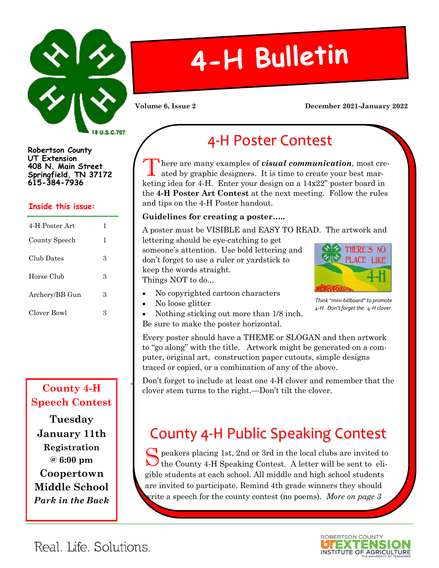

**Robertson County UT Extension 408 N. Main Street Springfield, TN 37172 615-384-7936**

#### **Inside this issue:**

| 4-H Poster Art | 1 |
|----------------|---|
| County Speech  | 1 |
| Club Dates     | 3 |
| Horse Club     | З |
| Archery/BB Gun | 3 |
| Clover Bowl    | З |

### **County 4-H Speech Contest**

**Tuesday January 11th Registration @ 6:00 pm Coopertown Middle School** *Park in the Back*

# 4-H Bulletin

#### **Volume 6, Issue 2 December 2021-January 2022**

# 4-H Poster Contest

here are many examples of  $\emph{visual communication},$  most created by graphic designers. It is time to create your best marketing idea for 4-H. Enter your design on a  $14x22$ " poster board in the 4-H Poster Art Contest at the next meeting. Follow the rules and tips on the 4-H Poster handout. chasing a mailing list from T

#### audience. Newsletters can Guidelines for creating a poster…..

A poster must be VISIBLE and EASY TO READ. The artwork and catalog, you will find many **Caption describing picture or graphic.**

lettering should be eye-catching to get someone's attention. Use bold lettering and tion is identity among peers, where  $\mathbb{R}$ don't forget to use a ruler or yardstick to vendors. keep the words straight. Things NOT to do...

• No copyrighted cartoon characters.



could be anyone who might  $\begin{array}{c} \hbox{\textbf{I}} \end{array}$  *Think "mini-billboard" to promote* publish the newsletter and *4-H. Don't forget the 4-H clover.*

its length. It's recommend-

• Nothing sticking out more than 1/8 inch.  $\frac{1}{2}$  matrix  $\frac{1}{2}$  and  $\frac{1}{2}$  and  $\frac{1}{2}$  and  $\frac{1}{2}$  and  $\frac{1}{2}$ Be sure to make the poster horizontal. • No loose glitter

Every poster should have a THEME or SLOGAN and then artwork to "go along" with the title. Artwork might be generated on a computer, original art, construction paper cutouts, simple designs traced or copied, or a combination of any of the above.  $\mathbf{v}$  $vec{e}$ .

Don't forget to include at least one 4-H clover and remember that the **Secondary Story Headline** clover stem turns to the right.—Don't tilt the clover.

# County 4-H Public Speaking Contest

peakers placing 1st, 2nd or 3rd in the local clubs are invited to  $\begin{array}{l} \displaystyle\bigotimes \text{peakers placing 1st, 2nd or 3rd in the local clubs are invited to the County 4-H Speaking Contest. A letter will be sent to eli$ gible students at each school. All middle and high school students are invited to participate. Remind 4th grade winners they should  $\sum_{n=1}^{\infty}$ write a speech for the county contest (no poems). *More on page 3* 

contents of the story and

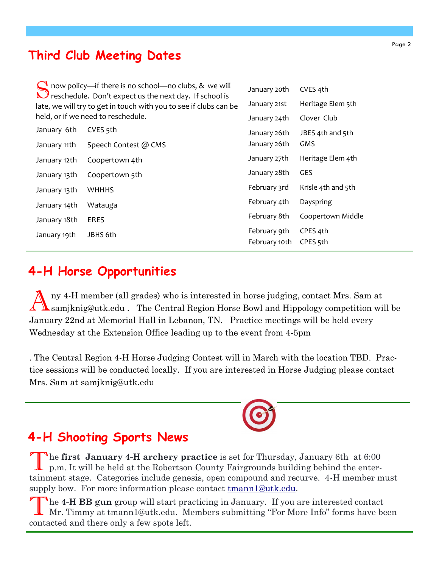## **Third Club Meeting Dates**

| now policy-if there is no school-no clubs, & we will<br>reschedule. Don't expect us the next day. If school is<br>late, we will try to get in touch with you to see if clubs can be<br>held, or if we need to reschedule. |                      | January 20th  | CVES 4th            |
|---------------------------------------------------------------------------------------------------------------------------------------------------------------------------------------------------------------------------|----------------------|---------------|---------------------|
|                                                                                                                                                                                                                           |                      | January 21st  | Heritage Elem 5th   |
|                                                                                                                                                                                                                           |                      | January 24th  | Clover Club         |
| January 6th                                                                                                                                                                                                               | CVES <sub>5th</sub>  | January 26th  | JBES 4th and 5th    |
| January 11th                                                                                                                                                                                                              | Speech Contest @ CMS | January 26th  | GMS                 |
| January 12th                                                                                                                                                                                                              | Coopertown 4th       | January 27th  | Heritage Elem 4th   |
| January 13th                                                                                                                                                                                                              | Coopertown 5th       | January 28th  | <b>GES</b>          |
| January 13th                                                                                                                                                                                                              | <b>WHHHS</b>         | February 3rd  | Krisle 4th and 5th  |
| January 14th                                                                                                                                                                                                              | Watauga              | February 4th  | Dayspring           |
| January 18th                                                                                                                                                                                                              | <b>ERES</b>          | February 8th  | Coopertown Middle   |
| January 19th                                                                                                                                                                                                              | JBHS 6th             | February 9th  | CPES 4th            |
|                                                                                                                                                                                                                           |                      | February 10th | CPES <sub>5th</sub> |

## **4-H Horse Opportunities**

A ny 4-H member (all grades) who is interested in horse judging, contact Mrs. Sam at samjknig@utk.edu . The Central Region Horse Bowl and Hippology competition will be January 22nd at Memorial Hall in Lebanon, TN. Practice meetings will be held every Wednesday at the Extension Office leading up to the event from 4-5pm

. The Central Region 4-H Horse Judging Contest will in March with the location TBD. Practice sessions will be conducted locally. If you are interested in Horse Judging please contact Mrs. Sam at samjknig@utk.edu

## **4-H Shooting Sports News**

The first January 4-H archery practice is set for Thursday, January 6th at 6:00 p.m. It will be held at the Robertson County Fairgrounds building behind the enterhe **first January 4-H archery practice** is set for Thursday, January 6th at 6:00 tainment stage. Categories include genesis, open compound and recurve. 4-H member must supply bow. For more information please contact [tmann1@utk.edu.](mailto:tmann1@utk.edu)

T he **4-H BB gun** group will start practicing in January. If you are interested contact Mr. Timmy at tmann1@utk.edu. Members submitting "For More Info" forms have been contacted and there only a few spots left.